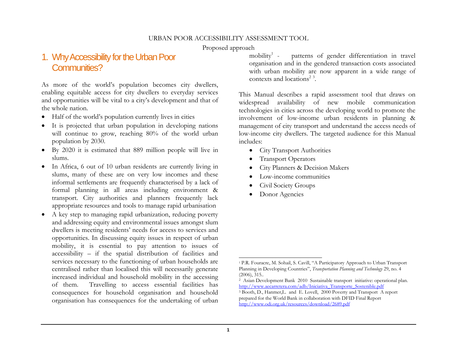Proposed approach

# 1. Why Accessibility for the Urban Poor Communities?

As more of the world's population becomes city dwellers, enabling equitable access for city dwellers to everyday services and opportunities will be vital to a city's development and that of the whole nation.

- Half of the world's population currently lives in cities
- It is projected that urban population in developing nations will continue to grow, reaching 80% of the world urban population by 2030.
- By 2020 it is estimated that 889 million people will live in slums.
- In Africa, 6 out of 10 urban residents are currently living in slums, many of these are on very low incomes and these informal settlements are frequently characterised by a lack of formal planning in all areas including environment & transport. City authorities and planners frequently lack appropriate resources and tools to manage rapid urbanisation
- 0 A key step to managing rapid urbanization, reducing poverty and addressing equity and environmental issues amongst slum dwellers is meeting residents' needs for access to services and opportunities. In discussing equity issues in respect of urban mobility, it is essential to pay attention to issues of accessibility – if the spatial distribution of facilities and services necessary to the functioning of urban households are centralised rather than localised this will necessarily generate increased individual and household mobility in the accessing of them. Travelling to access essential facilities has consequences for household organisation and household organisation has consequences for the undertaking of urban

mobility<sup>1</sup> - patterns of gender differentiation in travel organisation and in the gendered transaction costs associated with urban mobility are now apparent in a wide range of contexts and locations<sup>2 3</sup>.

This Manual describes a rapid assessment tool that draws on widespread availability of new mobile communication technologies in cities across the developing world to promote the involvement of low-income urban residents in planning & management of city transport and understand the access needs of low-income city dwellers. The targeted audience for this Manual includes:

- City Transport Authorities
- $\bullet$ Transport Operators
- $\bullet$ City Planners & Decision Makers
- . Low-income communities
- 0 Civil Society Groups
- . Donor Agencies

<sup>1</sup> P.R. Fouracre, M. Sohail, S. Cavill, "A Participatory Approach to Urban Transport Planning in Developing Countries", *Transportation Planning and Technology* 29, no. 4 (2006), 315..

<sup>2</sup> Asian Development Bank 2010 Sustainable transport initiative: operational plan. http://www.aecarretera.com/adb/Iniciativa\_Transporte\_Sostenible.pdf

<sup>3</sup> Booth, D., Hanmer,L. and E. Lovell, 2000 Poverty and Transport A report prepared for the World Bank in collaboration with DFID Final Report http://www.odi.org.uk/resources/download/2689.pdf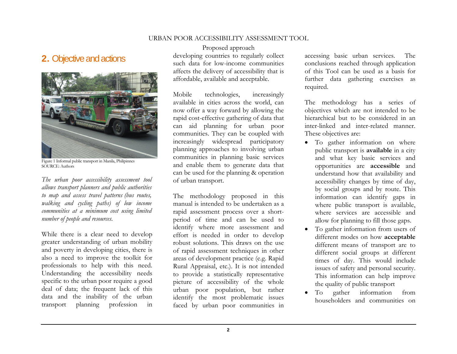# 2. Objective and actions



Figure 1 Informal public transport in Manila, Philipinnes SOURCE: Authors

*The urban poor accessibility assessment tool allows transport planners and public authorities to map and assess travel patterns (bus routes, walking and cycling paths) of low income communities at a minimum cost using limited number of people and resources.* 

While there is a clear need to develop greater understanding of urban mobility and poverty in developing cities, there is also a need to improve the toolkit for professionals to help with this need. Understanding the accessibility needs specific to the urban poor require a good deal of data; the frequent lack of this data and the inability of the urban transport planning profession in

Proposed approach developing countries to regularly collect such data for low-income communities affects the delivery of accessibility that is affordable, available and acceptable.

Mobile technologies, increasingly available in cities across the world, can now offer a way forward by allowing the rapid cost-effective gathering of data that can aid planning for urban poor communities. They can be coupled with increasingly widespread participatory planning approaches to involving urban communities in planning basic services and enable them to generate data that can be used for the planning & operation of urban transport.

The methodology proposed in this manual is intended to be undertaken as a rapid assessment process over a shortperiod of time and can be used to identify where more assessment and effort is needed in order to develop robust solutions. This draws on the use of rapid assessment techniques in other areas of development practice (e.g. Rapid Rural Appraisal, etc.). It is not intended to provide a statistically representative picture of accessibility of the whole urban poor population, but rather identify the most problematic issues faced by urban poor communities in

accessing basic urban services. The conclusions reached through application of this Tool can be used as a basis for further data gathering exercises as required.

The methodology has a series of objectives which are not intended to be hierarchical but to be considered in an inter-linked and inter-related manner. These objectives are:

- To gather information on where public transport is **available** in a city and what key basic services and opportunities are **accessible** and understand how that availability and accessibility changes by time of day, by social groups and by route. This information can identify gaps in where public transport is available, where services are accessible and allow for planning to fill those gaps.
- $\bullet$  To gather information from users of different modes on how **acceptable** different means of transport are to different social groups at different times of day. This would include issues of safety and personal security. This information can help improve the quality of public transport
- . To gather information from householders and communities on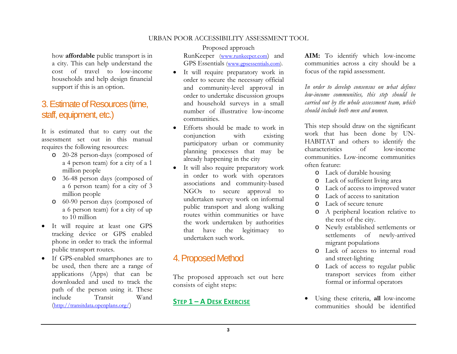how **affordable** public transport is in a city. This can help understand the cost of travel to low-income households and help design financial support if this is an option.

# 3. Estimate of Resources (time, staff, equipment, etc.)

It is estimated that to carry out the assessment set out in this manual requires the following resources:

- o 20-28 person-days (composed of a 4 person team) for a city of a 1 million people
- o 36-48 person days (composed of a 6 person team) for a city of 3 million people
- o 60-90 person days (composed of a 6 person team) for a city of up to 10 million
- It will require at least one GPS tracking device or GPS enabled phone in order to track the informal public transport routes.
- If GPS-enabled smartphones are to be used, then there are a range of applications (Apps) that can be downloaded and used to track the path of the person using it. These include Transit Wand (http://transitdata.openplans.org/)

Proposed approach RunKeeper (www.runkeeper.com) and GPS Essentials (www.gpsessentials.com).

- It will require preparatory work in order to secure the necessary official and community-level approval in order to undertake discussion groups and household surveys in a small number of illustrative low-income communities.
- $\bullet$  Efforts should be made to work in conjunction with existing participatory urban or community planning processes that may be already happening in the city
- It will also require preparatory work in order to work with operators associations and community-based NGOs to secure approval to undertaken survey work on informal public transport and along walking routes within communities or have the work undertaken by authorities that have the legitimacy to undertaken such work.

# 4. Proposed Method

The proposed approach set out here consists of eight steps:

## **STEP 1 – A DESK EXERCISE**

**AIM:** To identify which low-income communities across a city should be a focus of the rapid assessment.

*In order to develop consensus on what defines low-income communities, this step should be carried out by the whole assessment team, which should include both men and women.*

This step should draw on the significant work that has been done by UN-HABITAT and others to identify the characteristics of low-income communities. Low-income communities often feature:

- o Lack of durable housing
- o Lack of sufficient living area
- o Lack of access to improved water
- o Lack of access to sanitation
- o Lack of secure tenure
- o A peripheral location relative to the rest of the city.
- o Newly established settlements or settlements of newly-arrived migrant populations
- o Lack of access to internal road and street-lighting
- o Lack of access to regular public transport services from either formal or informal operators
- . Using these criteria, **all** low-income communities should be identified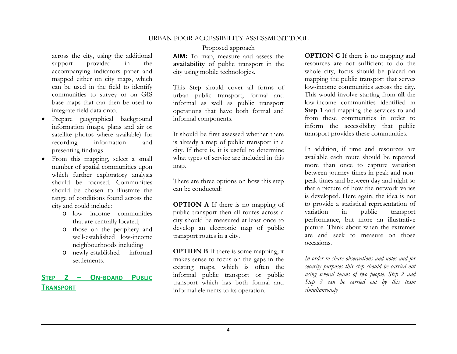across the city, using the additional support provided in the accompanying indicators paper and mapped either on city maps, which can be used in the field to identify communities to survey or on GIS base maps that can then be used to integrate field data onto.

- . Prepare geographical background information (maps, plans and air or satellite photos where available) for recording information and presenting findings
- From this mapping, select a small number of spatial communities upon which further exploratory analysis should be focused. Communities should be chosen to illustrate the range of conditions found across the city and could include:
	- o low income communities that are centrally located;
	- o those on the periphery and well-established low-income neighbourhoods including
	- o newly-established informal settlements.

#### **STEP2–ON‐BOARDPUBLICTRANSPORT**

Proposed approach

**AIM:** <sup>T</sup>o map, measure and assess the **availability** of public transport in the city using mobile technologies.

This Step should cover all forms of urban public transport, formal and informal as well as public transport operations that have both formal and informal components.

It should be first assessed whether there is already a map of public transport in a city. If there is, it is useful to determine what types of service are included in this map.

There are three options on how this step can be conducted:

**OPTION A** If there is no mapping of public transport then all routes across a city should be measured at least once to develop an electronic map of public transport routes in a city.

**OPTION B** If there is some mapping, it makes sense to focus on the gaps in the existing maps, which is often the informal public transport or public transport which has both formal and informal elements to its operation.

**OPTION C** If there is no mapping and resources are not sufficient to do the whole city, focus should be placed on mapping the public transport that serves low-income communities across the city. This would involve starting from **all** the low-income communities identified in **Step 1** and mapping the services to and from these communities in order to inform the accessibility that public transport provides these communities.

In addition, if time and resources are available each route should be repeated more than once to capture variation between journey times in peak and nonpeak times and between day and night so that a picture of how the network varies is developed. Here again, the idea is not to provide a statistical representation of variation in public transport performance, but more an illustrative picture. Think about when the extremes are and seek to measure on those occasions.

*In order to share observations and notes and for security purposes this step should be carried out using several teams of two people. Step 2 and Step 3 can be carried out by this team simultaneously*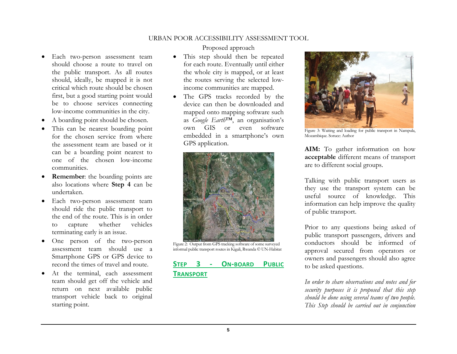- Each two-person assessment team should choose a route to travel on the public transport. As all routes should, ideally, be mapped it is not critical which route should be chosen first, but a good starting point would be to choose services connecting low-income communities in the city.
- 0 A boarding point should be chosen.
- . This can be nearest boarding point for the chosen service from where the assessment team are based or it can be a boarding point nearest to one of the chosen low-income communities.
- . **Remember**: the boarding points are also locations where **Step 4** can be undertaken.
- Each two-person assessment team should ride the public transport to the end of the route. This is in order to capture whether vehicles terminating early is an issue.
- . One person of the two-person assessment team should use a Smartphone GPS or GPS device to record the times of travel and route.
- 0 At the terminal, each assessment team should get off the vehicle and return on next available public transport vehicle back to original starting point.

#### Proposed approach

- This step should then be repeated for each route. Eventually until either the whole city is mapped, or at least the routes serving the selected lowincome communities are mapped.
- The GPS tracks recorded by the device can then be downloaded and mapped onto mapping software such as *Google Earth*™, an organisation's own GIS or even software embedded in a smartphone's own GPS application.



Figure 2: Output from GPS tracking software of some surveyed informal public transport routes in Kigali, Rwanda © UN-Habitat

#### **STEP3 ‐ O N‐BOARD PUBLICTRANSPORT**



Figure 3: Waiting and loading for public transport in Nampula, Mozambique. Soruce: Author

**AIM:** To gather information on how **acceptable** different means of transport are to different social groups.

Talking with public transport users as they use the transport system can be useful source of knowledge. This information can help improve the quality of public transport.

Prior to any questions being asked of public transport passengers, drivers and conductors should be informed of approval secured from operators or owners and passengers should also agree to be asked questions.

*In order to share observations and notes and for security purposes it is proposed that this step should be done using several teams of two people. This Step should be carried out in conjunction*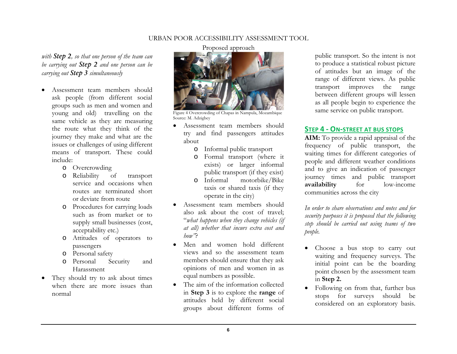*with Step 2, so that one person of the team can be carrying out Step 2 and one person can be carrying out Step 3 simultaneously* 

- . Assessment team members should ask people (from different social groups such as men and women and young and old) travelling on the same vehicle as they are measuring the route what they think of the journey they make and what are the issues or challenges of using different means of transport. These could include:
	- o Overcrowding
	- o Reliability of transport service and occasions when routes are terminated short or deviate from route
	- o Procedures for carrying loads such as from market or to supply small businesses (cost, acceptability etc.)
	- o Attitudes of operators to passengers
	- o Personal safety
	- o Personal Security and Harassment
- They should try to ask about times when there are more issues than normal

### Proposed approach



Figure 4 Overcrowding of Chapas in Nampula, Mozambique Source: M. Adzigbey

- 0 Assessment team members should try and find passengers attitudes about
	- o Informal public transport
	- o Formal transport (where it exists) or larger informal public transport (if they exist)
	- o Informal motorbike/Bike taxis or shared taxis (if they operate in the city)
- . Assessment team members should also ask about the cost of travel; "*what happens when they change vehicles (if at all) whether that incurs extra cost and how"*?
- 0 Men and women hold different views and so the assessment team members should ensure that they ask opinions of men and women in as equal numbers as possible.
- . The aim of the information collected in **Step 3** is to explore the **range** of attitudes held by different social groups about different forms of

public transport. So the intent is not to produce a statistical robust picture of attitudes but an image of the range of different views. As public transport improves the range between different groups will lessen as all people begin to experience the same service on public transport.

## **STEP4 ‐ ON‐STREET AT BUS STOPS**

**AIM:** To provide a rapid appraisal of the frequency of public transport, the waiting times for different categories of people and different weather conditions and to give an indication of passenger journey times and public transport **availability** for low-income communities across the city

*In order to share observations and notes and for security purposes it is proposed that the following step should be carried out using teams of two people.* 

- Choose a bus stop to carry out waiting and frequency surveys. The initial point can be the boarding point chosen by the assessment team in **Step 2.**
- . Following on from that, further bus stops for surveys should be considered on an exploratory basis.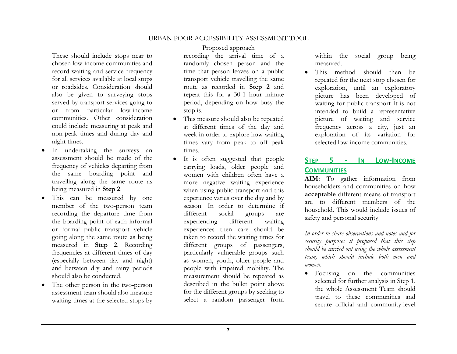These should include stops near to chosen low-income communities and record waiting and service frequency for all services available at local stops or roadsides. Consideration should also be given to surveying stops served by transport services going to or from particular low-income communities. Other consideration could include measuring at peak and non-peak times and during day and night times.

- . In undertaking the surveys an assessment should be made of the frequency of vehicles departing from the same boarding point and travelling along the same route as being measured in **Step 2**.
- 0 This can be measured by one member of the two-person team recording the departure time from the boarding point of each informal or formal public transport vehicle going along the same route as being measured in **Step 2**. Recording frequencies at different times of day (especially between day and night) and between dry and rainy periods should also be conducted.
- . The other person in the two-person assessment team should also measure waiting times at the selected stops by

#### Proposed approach

recording the arrival time of a randomly chosen person and the time that person leaves on a public transport vehicle travelling the same route as recorded in **Step 2** and repeat this for a 30-1 hour minute period, depending on how busy the stop is.

- This measure should also be repeated at different times of the day and week in order to explore how waiting times vary from peak to off peak times.
- It is often suggested that people carrying loads, older people and women with children often have a more negative waiting experience when using public transport and this experience varies over the day and by season. In order to determine if different social groups are experiencing different waiting experiences then care should be taken to record the waiting times for different groups of passengers, particularly vulnerable groups such as women, youth, older people and people with impaired mobility. The measurement should be repeated as described in the bullet point above for the different groups by seeking to select a random passenger from

within the social group being measured.

. This method should then be repeated for the next stop chosen for exploration, until an exploratory picture has been developed of waiting for public transport It is not intended to build a representative picture of waiting and service frequency across a city, just an exploration of its variation for selected low-income communities.

#### **STEP5 ‐ INLOW‐INCOMECOMMUNITIES**

**AIM:** To gather information from householders and communities on how **acceptable** different means of transport are to different members of the household. This would include issues of safety and personal security

*In order to share observations and notes and for security purposes it proposed that this step should be carried out using the whole assessment team, which should include both men and women.*

. Focusing on the communities selected for further analysis in Step 1, the whole Assessment Team should travel to these communities and secure official and community-level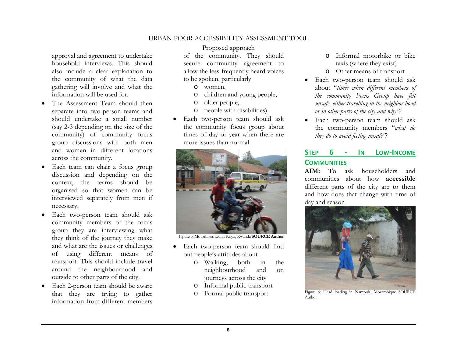approval and agreement to undertake household interviews. This should also include a clear explanation to the community of what the data gathering will involve and what the information will be used for.

- . The Assessment Team should then separate into two-person teams and should undertake a small number (say 2-3 depending on the size of the community) of community focus group discussions with both men and women in different locations across the community.
- 0 Each team can chair a focus group discussion and depending on the context, the teams should be organised so that women can be interviewed separately from men if necessary.
- . Each two-person team should ask community members of the focus group they are interviewing what they think of the journey they make and what are the issues or challenges of using different means of transport. This should include travel around the neighbourhood and outside to other parts of the city.
- Each 2-person team should be aware that they are trying to gather information from different members

### Proposed approach

of the community. They should secure community agreement to allow the less-frequently heard voices to be spoken, particularly

- o women,
- o children and young people,
- o older people,
- o people with disabilities).
- . Each two-person team should ask the community focus group about times of day or year when there are more issues than normal



Figure 5: Motorbikes taxi in Kigali, Rwanda **SOURCE Author**

- Each two-person team should find out people's attitudes about
	- o Walking, both in the neighbourhood and on journeys across the city
	- o Informal public transport
	- o Formal public transport
- o Informal motorbike or bike taxis (where they exist)
- o Other means of transport
- . Each two-person team should ask about "*times when different members of the community Focus Group have felt unsafe, either travelling in the neighbor-hood or in other parts of the city and why"*?
- Each two-person team should ask the community members "*what do they do to avoid feeling unsafe"*?

#### **STEP 6 ‐ IN LOW‐INCOME COMMUNITIES**

**AIM:** To ask householders and communities about how **accessible**different parts of the city are to them and how does that change with time of day and season



Figure 6: Head loading in Nampula, Mozambique SOURCE Author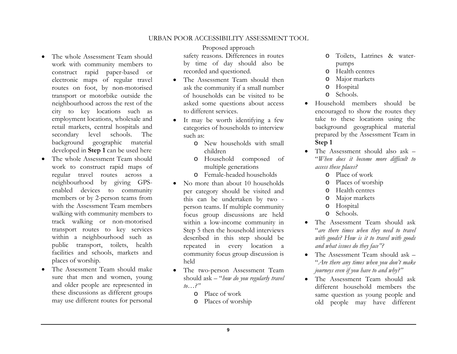- . The whole Assessment Team should work with community members to construct rapid paper-based or electronic maps of regular travel routes on foot, by non-motorised transport or motorbike outside the neighbourhood across the rest of the city to key locations such as employment locations, wholesale and retail markets, central hospitals and secondary level schools. The background geographic material developed in **Step 1** can be used here
- 0 The whole Assessment Team should work to construct rapid maps of regular travel routes across a neighbourhood by giving GPSenabled devices to community members or by 2-person teams from with the Assessment Team members walking with community members to track walking or non-motorised transport routes to key services within a neighbourhood such as public transport, toilets, health facilities and schools, markets and places of worship.
- . The Assessment Team should make sure that men and women, young and older people are represented in these discussions as different groups may use different routes for personal

Proposed approach safety reasons. Differences in routes by time of day should also be recorded and questioned.

- The Assessment Team should then ask the community if a small number of households can be visited to be asked some questions about access to different services.
- It may be worth identifying a few categories of households to interview such as:
	- o New households with small children
	- o Household composed of multiple generations
	- o Female-headed households
- . No more than about 10 households per category should be visited and this can be undertaken by two person teams. If multiple community focus group discussions are held within a low-income community in Step 5 then the household interviews described in this step should be repeated in every location a community focus group discussion is held
- $\bullet$  The two-person Assessment Team should ask – "*how do you regularly travel to…?"*
	- o Place of work
	- oPlaces of worship
- o Toilets, Latrines & waterpumps
- oHealth centres
- oMajor markets
- oHospital
- oSchools.
- . Household members should be encouraged to show the routes they take to these locations using the background geographical material prepared by the Assessment Team in **Step 1**
- 0 The Assessment should also ask – "*When does it become more difficult to access these places?*
	- o Place of work
	- oPlaces of worship
	- oHealth centres
	- o Major markets
	- o Hospital
	- o Schools.
- . The Assessment Team should ask "*are there times when they need to travel with goods? How is it to travel with goods and what issues do they face"?*
- $\bullet$  The Assessment Team should ask – "*Are there any times when you don't make journeys even if you have to and why?"*
- The Assessment Team should ask different household members the same question as young people and old people may have different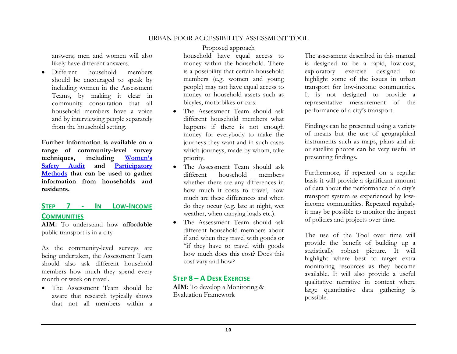answers; men and women will also likely have different answers.

. Different household members should be encouraged to speak by including women in the Assessment Teams, by making it clear in community consultation that all household members have a voice and by interviewing people separately from the household setting.

**Further information is available on a range of community-level survey techniques, including Women's Safety Audit and Participatory Methods that can be used to gather information from households and residents.** 

## **STEP7 ‐ INLOW‐INCOMECOMMUNITIES**

**AIM:** To understand how **affordable**public transport is in a city

As the community-level surveys are being undertaken, the Assessment Team should also ask different household members how much they spend every month or week on travel.

 The Assessment Team should be aware that research typically shows that not all members within a

#### Proposed approach

household have equal access to money within the household. There is a possibility that certain household members (e.g. women and young people) may not have equal access to money or household assets such as bicyles, motorbikes or cars.

- The Assessment Team should ask different household members what happens if there is not enough money for everybody to make the journeys they want and in such cases which journeys, made by whom, take priority.
- The Assessment Team should ask different household members whether there are any differences in how much it costs to travel, how much are these differences and when do they occur (e.g. late at night, wet weather, when carrying loads etc.).
- $\bullet$  The Assessment Team should ask different household members about if and when they travel with goods or "if they have to travel with goods how much does this cost? Does this cost vary and how?

#### **STEP 8 – A DESK EXERCISE**

**AIM**: To develop a Monitoring & Evaluation Framework

The assessment described in this manual is designed to be a rapid, low-cost, exploratory exercise designed to highlight some of the issues in urban transport for low-income communities. It is not designed to provide a representative measurement of the performance of a city's transport.

Findings can be presented using a variety of means but the use of geographical instruments such as maps, plans and air or satellite photos can be very useful in presenting findings.

Furthermore, if repeated on a regular basis it will provide a significant amount of data about the performance of a city's transport system as experienced by lowincome communities. Repeated regularly it may be possible to monitor the impact of policies and projects over time.

The use of the Tool over time will provide the benefit of building up a statistically robust picture. It will highlight where best to target extra monitoring resources as they become available. It will also provide a useful qualitative narrative in context where large quantitative data gathering is possible.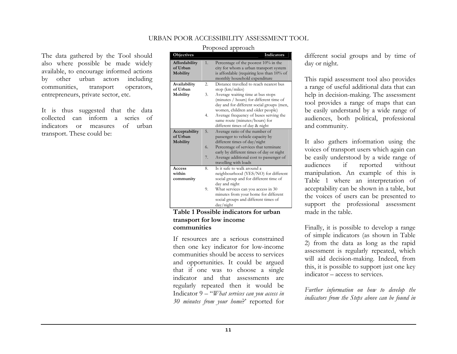The data gathered by the Tool should also where possible be made widely available, to encourage informed actions by other urban actors including communities, transport operators, entrepreneurs, private sector, etc.

It is thus suggested that the data collected can inform a series of indicators or measures of urban transport. These could be:

#### Proposed approach

| <b>Objectives</b>                            |                  | Indicators                                                                                                                                                     |
|----------------------------------------------|------------------|----------------------------------------------------------------------------------------------------------------------------------------------------------------|
| Affordability<br>of Urban<br><b>Mobility</b> | 1.               | Percentage of the poorest 10% in the<br>city for whom a urban transport system<br>is affordable (requiring less than 10% of<br>monthly household expenditure   |
| Availability                                 | $\overline{2}$ . | Distance travelled to reach nearest bus                                                                                                                        |
| of Urban                                     |                  | stop $(km/miles)$                                                                                                                                              |
| Mobility                                     | 3.               | Average waiting time at bus stops<br>(minutes / hours) for different time of<br>day and for different social groups (men,<br>women, children and older people) |
|                                              | 4.               | Average frequency of buses serving the<br>same route (minutes/hours) for<br>different times of day & night                                                     |
| Acceptability<br>of Urban<br><b>Mobility</b> | 5.               | Average ratio of the number of<br>passenger to vehicle capacity by<br>different times of day/night                                                             |
|                                              | 6.               | Percentage of services that terminate<br>early by different times of day or night                                                                              |
|                                              | 7.               | Average additional cost to passenger of<br>travelling with loads                                                                                               |
| Access<br>within<br>community                | 8.               | Is it safe to walk around a<br>neighbourhood (YES/NO) for different<br>social group and for different time of<br>day and night                                 |
|                                              | 9.               | What services can you access in 30<br>minutes from your home for different<br>social groups and different times of<br>day/night                                |

#### **Table 1 Possible indicators for urban transport for low income communities**

If resources are a serious constrained then one key indicator for low-income communities should be access to services and opportunities. It could be argued that if one was to choose a single indicator and that assessments are regularly repeated then it would be Indicator 9 – "*What services can you access in 30 minutes from your home*?' reported for

different social groups and by time of day or night.

This rapid assessment tool also provides a range of useful additional data that can help in decision-making. The assessment tool provides a range of maps that can be easily understand by a wide range of audiences, both political, professional and community.

It also gathers information using the voices of transport users which again can be easily understood by a wide range of audiences if reported without manipulation. An example of this is Table 1 where an interpretation of acceptability can be shown in a table, but the voices of users can be presented to support the professional assessment made in the table.

Finally, it is possible to develop a range of simple indicators (as shown in Table 2) from the data as long as the rapid assessment is regularly repeated, which will aid decision-making. Indeed, from this, it is possible to support just one key indicator – access to services.

*Further information on how to develop the indicators from the Steps above can be found in*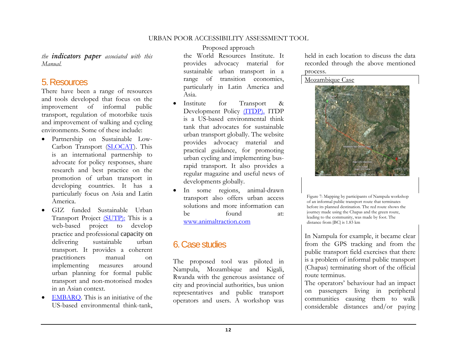*the indicators paper associated with this Manual.* 

## 5. Resources

There have been a range of resources and tools developed that focus on the improvement of informal public transport, regulation of motorbike taxis and improvement of walking and cycling environments. Some of these include:

- Partnership on Sustainable Low-Carbon Transport (SLOCAT). This is an international partnership to advocate for policy responses, share research and best practice on the promotion of urban transport in developing countries. It has a particularly focus on Asia and Latin America.
- . GIZ funded Sustainable Urban Transport Project (SUTP): This is a web-based project to develop practice and professional capacity on delivering sustainable urban transport. It provides a coherent practitioners manual on implementing measures around urban planning for formal public transport and non-motorised modes in an Asian context.
- 0 EMBARQ. This is an initiative of the US-based environmental think-tank,

Proposed approach

the World Resources Institute. It provides advocacy material for sustainable urban transport in a range of transition economies, particularly in Latin America and Asia.

- . Institute for Transport & Development Policy (ITDP). ITDP is a US-based environmental think tank that advocates for sustainable urban transport globally. The website provides advocacy material and practical guidance, for promoting urban cycling and implementing busrapid transport. It also provides a regular magazine and useful news of developments globally.
- 0 In some regions, animal-drawn transport also offers urban access solutions and more information can be found at: www.animaltraction.com

# 6. Case studies

The proposed tool was piloted in Nampula, Mozambique and Kigali, Rwanda with the generous assistance of city and provincial authorities, bus union representatives and public transport operators and users. A workshop was

held in each location to discuss the data recorded through the above mentioned process.

Mozambique Case



Figure 7: Mapping by participants of Nampula workshop of an informal public transport route that terminates before its planned destination. The red route shows the journey made using the Chapas and the green route, leading to the community, was made by foot. The distance from [BC] is 1.83 km

In Nampula for example, it became clear from the GPS tracking and from the public transport field exercises that there is a problem of informal public transport (Chapas) terminating short of the official route terminus.

The operators' behaviour had an impact on passengers living in peripheral communities causing them to walk considerable distances and/or paying